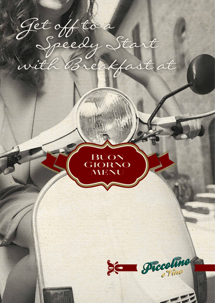